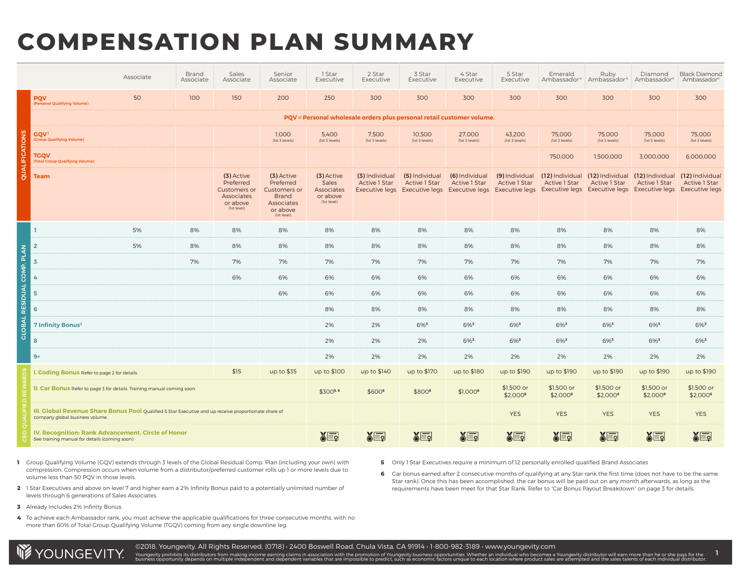# **COMPENSATION PLAN SUMMARY**

|                                   |                                                                                                                                          | Associate | Brand<br>Associate | Sales<br>Associate                                                                      | Senior<br>Associate                                                                                     | 1 Star<br>Executive                                          | 2 Star<br>Executive                    | 3 Star<br>Executive                    | 4 Star<br>Executive                                                                                                                                | 5 Star<br>Executive                    | Emerald<br>Ambassador <sup>4</sup> | Ruby<br>Ambassador <sup>4</sup>                         | Diamond<br>Ambassador <sup>4</sup>      | <b>Black Diamond</b><br>Ambassador <sup>4</sup>                  |
|-----------------------------------|------------------------------------------------------------------------------------------------------------------------------------------|-----------|--------------------|-----------------------------------------------------------------------------------------|---------------------------------------------------------------------------------------------------------|--------------------------------------------------------------|----------------------------------------|----------------------------------------|----------------------------------------------------------------------------------------------------------------------------------------------------|----------------------------------------|------------------------------------|---------------------------------------------------------|-----------------------------------------|------------------------------------------------------------------|
|                                   | <b>PQV</b><br>(Personal Qualifying Volume)                                                                                               | 50        | 100                | 150                                                                                     | 200                                                                                                     | 250                                                          | 300                                    | 300                                    | 300                                                                                                                                                | 300                                    | 300                                | 300                                                     | 300                                     | 300                                                              |
|                                   |                                                                                                                                          |           |                    |                                                                                         |                                                                                                         |                                                              |                                        |                                        | PQV = Personal wholesale orders plus personal retail customer volume.                                                                              |                                        |                                    |                                                         |                                         |                                                                  |
|                                   | <b>GQV1</b><br>(Group Qualifying Volume)                                                                                                 |           |                    |                                                                                         | 1,000<br>(1st 3 levels)                                                                                 | 5,400<br>(1st 3 levels)                                      | 7,500<br>(1st 3 levels)                | 10,500<br>(1st 3 levels)               | 27,000<br>(1st 3 levels)                                                                                                                           | 43,200<br>(1st 3 levels)               | 75,000<br>(1st 3 levels)           | 75,000<br>(1st 3 levels)                                | 75,000<br>(1st 3 levels)                | 75,000<br>(1st 3 levels)                                         |
| QUALIFICATIONS                    | <b>TGQV</b><br><b>Total Group Qualifying Volume)</b>                                                                                     |           |                    |                                                                                         |                                                                                                         |                                                              |                                        |                                        |                                                                                                                                                    |                                        | 750,000                            | 1,500,000                                               | 3,000,000                               | 6,000,000                                                        |
|                                   | <b>Team</b>                                                                                                                              |           |                    | (3) Active<br>Preferred<br><b>Customers or</b><br>Associates<br>or above<br>(1st level) | (3) Active<br>Preferred<br><b>Customers or</b><br><b>Brand</b><br>Associates<br>or above<br>(1st level) | (3) Active<br>Sales<br>Associates<br>or above<br>(Ist level) | (3) Individual<br><b>Active 1 Star</b> | (5) Individual<br><b>Active 1 Star</b> | (6) Individual<br><b>Active 1 Star</b><br>Executive legs Executive legs Executive legs Executive legs Executive legs Executive legs Executive legs | (9) Individual<br><b>Active 1 Star</b> | <b>Active 1 Star</b>               | (12) Individual (12) Individual<br><b>Active 1 Star</b> | (12) Individual<br><b>Active 1 Star</b> | (12) Individual<br><b>Active 1 Star</b><br><b>Executive legs</b> |
|                                   |                                                                                                                                          | 5%        | 8%                 | 8%                                                                                      | 8%                                                                                                      | 8%                                                           | 8%                                     | 8%                                     | 8%                                                                                                                                                 | 8%                                     | 8%                                 | 8%                                                      | 8%                                      | 8%                                                               |
|                                   | $\overline{2}$                                                                                                                           | 5%        | 8%                 | 8%                                                                                      | 8%                                                                                                      | 8%                                                           | 8%                                     | 8%                                     | 8%                                                                                                                                                 | 8%                                     | 8%                                 | 8%                                                      | 8%                                      | 8%                                                               |
| <b>GLOBAL RESIDUAL COMP. PLAN</b> | $\overline{\mathbf{3}}$                                                                                                                  |           | 7%                 | 7%                                                                                      | 7%                                                                                                      | 7%                                                           | 7%                                     | 7%                                     | 7%                                                                                                                                                 | 7%                                     | 7%                                 | 7%                                                      | 7%                                      | 7%                                                               |
|                                   | 4                                                                                                                                        |           |                    | 6%                                                                                      | 6%                                                                                                      | 6%                                                           | 6%                                     | 6%                                     | 6%                                                                                                                                                 | 6%                                     | 6%                                 | 6%                                                      | 6%                                      | 6%                                                               |
|                                   | 5                                                                                                                                        |           |                    |                                                                                         | 6%                                                                                                      | 6%                                                           | 6%                                     | 6%                                     | 6%                                                                                                                                                 | 6%                                     | 6%                                 | 6%                                                      | 6%                                      | 6%                                                               |
|                                   | 6                                                                                                                                        |           |                    |                                                                                         |                                                                                                         | 8%                                                           | 8%                                     | 8%                                     | 8%                                                                                                                                                 | 8%                                     | 8%                                 | 8%                                                      | 8%                                      | 8%                                                               |
|                                   | <b>7 Infinity Bonus<sup>2</sup></b>                                                                                                      |           |                    |                                                                                         |                                                                                                         | 2%                                                           | 2%                                     | 6%3                                    | 6%3                                                                                                                                                | 6%3                                    | 6%3                                | 6%3                                                     | 6%3                                     | 6%3                                                              |
|                                   | 8                                                                                                                                        |           |                    |                                                                                         |                                                                                                         | 2%                                                           | 2%                                     | 2%                                     | 6%3                                                                                                                                                | 6%3                                    | $6\%$ <sup>3</sup>                 | $6\%$ <sup>3</sup>                                      | 6%3                                     | $6\%$ <sup>3</sup>                                               |
|                                   | $9+$                                                                                                                                     |           |                    |                                                                                         |                                                                                                         | 2%                                                           | 2%                                     | 2%                                     | 2%                                                                                                                                                 | 2%                                     | 2%                                 | 2%                                                      | 2%                                      | 2%                                                               |
|                                   | I. Coding Bonus Refer to page 2 for details                                                                                              |           |                    | \$15                                                                                    | up to \$35                                                                                              | up to \$100                                                  | up to \$140                            | up to \$170                            | up to \$180                                                                                                                                        | up to \$190                            | up to \$190                        | up to \$190                                             | up to \$190                             | up to \$190                                                      |
|                                   | II. Car Bonus Refer to page 3 for details. Training manual coming soon.                                                                  |           |                    | \$3005.6                                                                                | \$6006                                                                                                  | \$8006                                                       | \$1,000 <sup>6</sup>                   | \$1,500 or<br>\$2,0006                 | \$1,500 or<br>\$2,000 <sup>6</sup>                                                                                                                 | \$1,500 or<br>\$2,000 <sup>6</sup>     | \$1,500 or<br>\$2,000 <sup>6</sup> | \$1,500 or<br>\$2,0006                                  |                                         |                                                                  |
|                                   | III. Global Revenue Share Bonus Pool Qualified 5 Star Executive and up receive proportionate share of<br>company global business volume. |           |                    |                                                                                         |                                                                                                         |                                                              |                                        |                                        | <b>YES</b>                                                                                                                                         | <b>YES</b>                             | <b>YES</b>                         | <b>YES</b>                                              | <b>YES</b>                              |                                                                  |
|                                   | IV. Recognition: Rank Advancement, Circle of Honor<br>See training manual for details (coming soon).                                     |           |                    |                                                                                         |                                                                                                         | $\sqrt{\epsilon}$                                            | $\S_{\Xi_2}$                           | $\sqrt{\epsilon}$                      | $\sqrt{\epsilon}$                                                                                                                                  | $\S_{\Xi}$                             | $\sqrt{\epsilon}$                  | <b>SEP</b>                                              | $\S_{\Xi_2}$                            | $\S_{\Xi}$                                                       |

1 Group Qualifying Volume (GQV) extends through 3 levels of the Global Residual Comp. Plan (including your own) with compression. Compression occurs when volume from a distributor/preferred customer rolls up 1 or more levels due to volume less than 50 PQV in those levels.

1 Star Executives and above on level 7 and higher earn a 2% Infinity Bonus paid to a potentially unlimited number of **2** levels through 6 generations of Sales Associates.

**5** Only 1 Star Executives require a minimum of 12 personally enrolled qualified Brand Associates

Car bonus earned after 2 consecutive months of qualifying at any Star rank the first time (does not have to be the same **6** Star rank). Once this has been accomplished, the car bonus will be paid out on any month afterwards, as long as the requirements have been meet for that Star Rank. Refer to "Car Bonus Payout Breakdown" on page 3 for details.

- Already Includes 2% Infinity Bonus. **3**
- To achieve each Ambassador rank, you must achieve the applicable qualifications for three consecutive months, with no **4** more than 60% of Total Group Qualifying Volume (TGQV) coming from any single downline leg.



Youngevity prohibits its distributors from making income earning claims in association with the promotion of Youngevity business oportunities. Whether an individual who becomes a Youngevity distributor. When we also also a 1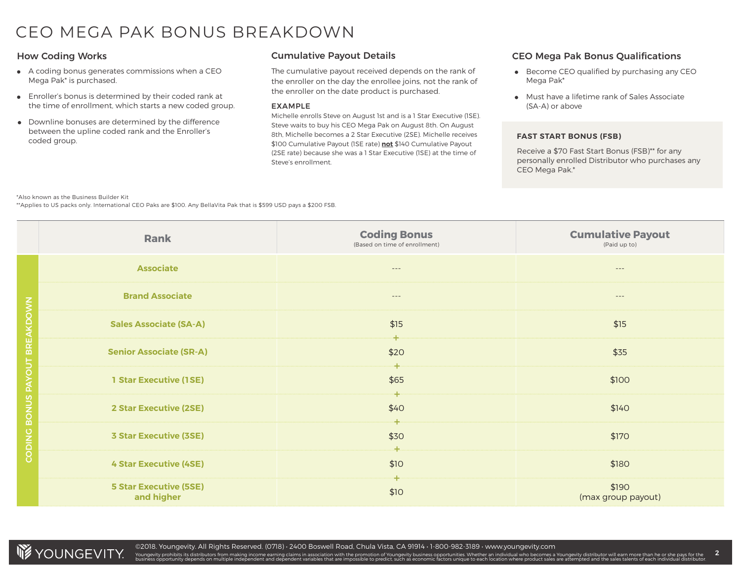### CEO MEGA PAK BONUS BREAKDOWN

- A coding bonus generates commissions when a CEO Mega Pak\* is purchased.
- Enroller's bonus is determined by their coded rank at the time of enrollment, which starts a new coded group.
- Downline bonuses are determined by the difference between the upline coded rank and the Enroller's coded group.

#### Cumulative Payout Details

The cumulative payout received depends on the rank of the enroller on the day the enrollee joins, not the rank of the enroller on the date product is purchased.

#### EXAMPLE

Michelle enrolls Steve on August 1st and is a 1 Star Executive (1SE). Steve waits to buy his CEO Mega Pak on August 8th. On August 8th, Michelle becomes a 2 Star Executive (2SE). Michelle receives \$100 Cumulative Payout (1SE rate) **not** \$140 Cumulative Payout (2SE rate) because she was a 1 Star Executive (1SE) at the time of Steve's enrollment.

#### How Coding Works CEO Mega Pak Bonus Qualifications

- **Become CEO qualified by purchasing any CEO** Mega Pak\*
- Must have a lifetime rank of Sales Associate (SA-A) or above

#### **FAST START BONUS (FSB)**

Receive a \$70 Fast Start Bonus (FSB)\*\* for any personally enrolled Distributor who purchases any CEO Mega Pak.\*

#### \*Also known as the Business Builder Kit

\*\*Applies to US packs only. International CEO Paks are \$100. Any BellaVita Pak that is \$599 USD pays a \$200 FSB.

|                  | Rank                                        | <b>Coding Bonus</b><br>(Based on time of enrollment) | <b>Cumulative Payout</b><br>(Paid up to) |
|------------------|---------------------------------------------|------------------------------------------------------|------------------------------------------|
|                  | <b>Associate</b>                            | $- - -$                                              | $---$                                    |
|                  | <b>Brand Associate</b>                      | $---$                                                | $---$                                    |
| <b>BREAKDOWN</b> | <b>Sales Associate (SA-A)</b>               | \$15<br>⊹⊢                                           | \$15                                     |
|                  | <b>Senior Associate (SR-A)</b>              | \$20                                                 | \$35                                     |
| BONUS PAYOUT     | <b>1 Star Executive (1SE)</b>               | ┿<br>\$65<br>┿                                       | \$100                                    |
|                  | <b>2 Star Executive (2SE)</b>               | \$40<br>┿                                            | \$140                                    |
| CODING           | <b>3 Star Executive (3SE)</b>               | \$30<br>4.                                           | \$170                                    |
|                  | <b>4 Star Executive (4SE)</b>               | \$10                                                 | \$180                                    |
|                  | <b>5 Star Executive (5SE)</b><br>and higher | ÷<br>\$10                                            | \$190<br>(max group payout)              |



Youngevity prohibits its distributors from making income earning claims in association with the promotion of Youngevity business oportunities. Whether an individual who becomes a Youngevity distributor. When we also also a 2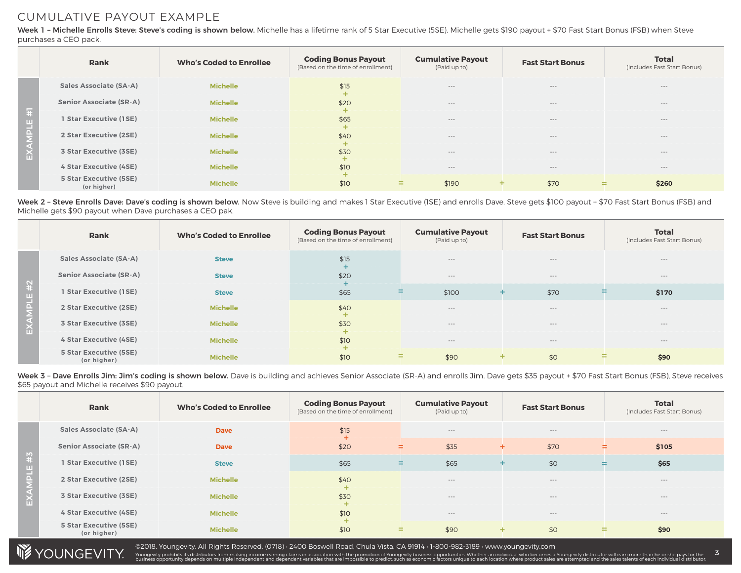### CUMULATIVE PAYOUT EXAMPLE

Week 1 - Michelle Enrolls Steve: Steve's coding is shown below. Michelle has a lifetime rank of 5 Star Executive (5SE). Michelle gets \$190 payout + \$70 Fast Start Bonus (FSB) when Steve purchases a CEO pack.

|                      | Rank                                         | <b>Who's Coded to Enrollee</b> | <b>Coding Bonus Payout</b><br>(Based on the time of enrollment) | <b>Cumulative Payout</b><br>(Paid up to) | <b>Fast Start Bonus</b> | <b>Total</b><br>(Includes Fast Start Bonus) |
|----------------------|----------------------------------------------|--------------------------------|-----------------------------------------------------------------|------------------------------------------|-------------------------|---------------------------------------------|
|                      | <b>Sales Associate (SA-A)</b>                | <b>Michelle</b>                | \$15                                                            | $---$                                    | $- - -$                 | $- - -$                                     |
|                      | <b>Senior Associate (SR-A)</b>               | <b>Michelle</b>                | \$20                                                            | $---$                                    | $- - -$                 | $\cdots$                                    |
| $\overline{H}$       | 1 Star Executive (1SE)                       | <b>Michelle</b>                | \$65                                                            | $---$                                    | $- - -$                 | $- - -$                                     |
| <b>IPLE</b>          | 2 Star Executive (2SE)                       | <b>Michelle</b>                | \$40                                                            | $---$                                    | $- - -$                 | $\cdots$                                    |
| $\mathbf{\tilde{u}}$ | 3 Star Executive (3SE)                       | <b>Michelle</b>                | \$30                                                            | $---$                                    | $- - -$                 | $\cdots$                                    |
|                      | 4 Star Executive (4SE)                       | <b>Michelle</b>                | \$10                                                            | $---$                                    | $- - -$                 | $\cdots$                                    |
|                      | <b>5 Star Executive (5SE)</b><br>(or higher) | <b>Michelle</b>                | \$10<br>$\sim$<br>$\sim$                                        | \$190<br>÷                               | \$70                    | \$260<br>=                                  |

 Week 2 – Steve Enrolls Dave: Dave's coding is shown below. Now Steve is building and makes 1 Star Executive (1SE) and enrolls Dave. Steve gets \$100 payout + \$70 Fast Start Bonus (FSB) and Michelle gets \$90 payout when Dave purchases a CEO pak.

|            | Rank                                  | <b>Who's Coded to Enrollee</b> | <b>Coding Bonus Payout</b><br>(Based on the time of enrollment) | <b>Cumulative Payout</b><br>(Paid up to) | <b>Fast Start Bonus</b> | <b>Total</b><br>(Includes Fast Start Bonus) |
|------------|---------------------------------------|--------------------------------|-----------------------------------------------------------------|------------------------------------------|-------------------------|---------------------------------------------|
| $\ddot{x}$ | <b>Sales Associate (SA-A)</b>         | <b>Steve</b>                   | \$15                                                            | $---$                                    | $---$                   | $\cdots$                                    |
|            | <b>Senior Associate (SR-A)</b>        | <b>Steve</b>                   | \$20                                                            | $---$                                    | $---$                   | $\cdots$                                    |
|            | 1 Star Executive (1SE)                | <b>Steve</b>                   | \$65<br>÷                                                       | \$100                                    | \$70                    | \$170<br>÷                                  |
|            | 2 Star Executive (2SE)                | <b>Michelle</b>                | \$40                                                            | $---$                                    | $---$                   | $\cdots$                                    |
| Ш          | 3 Star Executive (3SE)                | <b>Michelle</b>                | \$30                                                            | $---$                                    | $---$                   | $\cdots$                                    |
|            | 4 Star Executive (4SE)                | <b>Michelle</b>                | \$10                                                            | $---$                                    | $---$                   | $\cdots$                                    |
|            | 5 Star Executive (5SE)<br>(or higher) | <b>Michelle</b>                | =<br>\$10                                                       | \$90                                     | \$0<br>÷.               | \$90<br>Ξ.                                  |

.<br>Week 3 – Dave Enrolls Jim: Jim's coding is shown below. Dave is building and achieves Senior Associate (SR-A) and enrolls Jim. Dave gets \$35 payout + \$70 Fast Start Bonus (FSB), Steve receives \$65 payout and Michelle receives \$90 payout.

|            | Rank                                  | <b>Who's Coded to Enrollee</b> | <b>Coding Bonus Payout</b><br>(Based on the time of enrollment) | <b>Cumulative Payout</b><br>(Paid up to) | <b>Fast Start Bonus</b> | <b>Total</b><br>(Includes Fast Start Bonus) |
|------------|---------------------------------------|--------------------------------|-----------------------------------------------------------------|------------------------------------------|-------------------------|---------------------------------------------|
| $\ddot{t}$ | <b>Sales Associate (SA-A)</b>         | <b>Dave</b>                    | \$15                                                            | $---$                                    | $---$                   | $\cdots$                                    |
|            | <b>Senior Associate (SR-A)</b>        | <b>Dave</b>                    | \$20                                                            | \$35<br>÷                                | \$70<br>÷               | \$105<br>÷.                                 |
|            | 1 Star Executive (1SE)                | <b>Steve</b>                   | \$65                                                            | \$65<br>÷                                | \$0                     | \$65<br>÷.                                  |
|            | 2 Star Executive (2SE)                | <b>Michelle</b>                | \$40                                                            | $---$                                    | $---$                   | $\cdots$                                    |
| m          | 3 Star Executive (3SE)                | <b>Michelle</b>                | \$30                                                            | $---$                                    | $---$                   | $\cdots$                                    |
|            | 4 Star Executive (4SE)                | <b>Michelle</b>                | \$10                                                            | $---$                                    | $---$                   | $\cdots$                                    |
|            | 5 Star Executive (5SE)<br>(or higher) | <b>Michelle</b>                | \$10                                                            | \$90<br>=                                | \$0<br>÷.               | \$90<br>=                                   |



©2018. Youngevity. All Rights Reserved. (0718) • 2400 Boswell Road, Chula Vista, CA 91914 • 1-800-982-3189 • www.youngevity.com

Youngevity prohibits its distributors from making income earning claims in association with the promotion of Youngevity business oportunities. Whether an individual who becomes a Youngevity distributor. When we also also a 3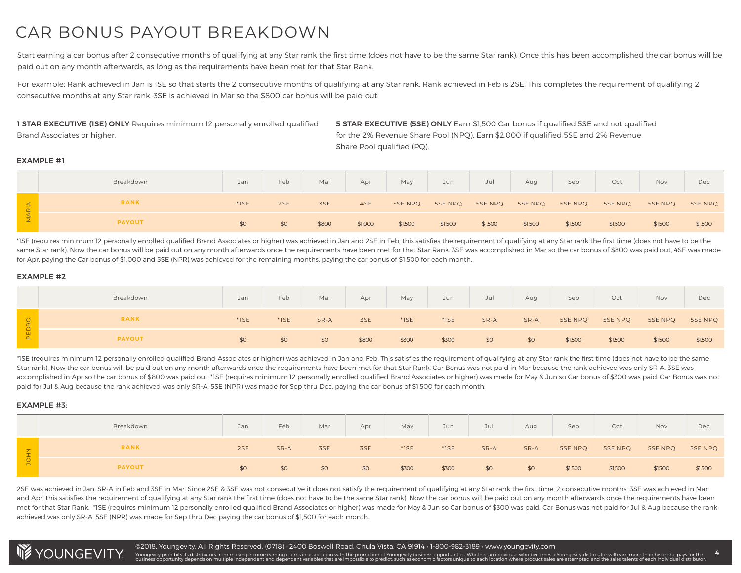## CAR BONUS PAYOUT BREAKDOWN

Start earning a car bonus after 2 consecutive months of qualifying at any Star rank the first time (does not have to be the same Star rank). Once this has been accomplished the car bonus will be paid out on any month afterwards, as long as the requirements have been met for that Star Rank.

For example: Rank achieved in Jan is 1SE so that starts the 2 consecutive months of qualifying at any Star rank. Rank achieved in Feb is 2SE, This completes the requirement of qualifying 2 consecutive months at any Star rank. 3SE is achieved in Mar so the \$800 car bonus will be paid out.

1 STAR EXECUTIVE (1SE) ONLY Requires minimum 12 personally enrolled qualified Brand Associates or higher.

5 STAR EXECUTIVE (5SE) ONLY Earn \$1,500 Car bonus if qualified 5SE and not qualified for the 2% Revenue Share Pool (NPQ). Earn \$2,000 if qualified 5SE and 2% Revenue Share Pool qualified (PQ).

#### EXAMPLE #1

|                    | Breakdown     | Jan     | Feb | Mar   | Apr     | May     | Jun     | Jul     | Aug     | Sep     | Oct     | Nov     | Dec     |
|--------------------|---------------|---------|-----|-------|---------|---------|---------|---------|---------|---------|---------|---------|---------|
| $\frac{4}{\alpha}$ | <b>RANK</b>   | $*$ 1SE | 2SE | 3SE   | 4SE     | 5SE NPQ | 5SE NPQ | 5SE NPQ | 5SE NPQ | 5SE NPQ | 5SE NPQ | 5SE NPQ | 5SE NPQ |
| $\leq$             | <b>PAYOUT</b> | \$0     | \$0 | \$800 | \$1,000 | \$1,500 | \$1,500 | \$1,500 | \$1,500 | \$1,500 | \$1,500 | \$1,500 | \$1,500 |

 \*1SE (requires minimum 12 personally enrolled qualified Brand Associates or higher) was achieved in Jan and 2SE in Feb, this satisfies the requirement of qualifying at any Star rank the first time (does not have to be the same Star rank). Now the car bonus will be paid out on any month afterwards once the requirements have been met for that Star Rank. 3SE was accomplished in Mar so the car bonus of \$800 was paid out, 4SE was made for Apr, paying the Car bonus of \$1,000 and 5SE (NPR) was achieved for the remaining months, paying the car bonus of \$1,500 for each month.

#### EXAMPLE #2

|       | Breakdown     | Jan                 | Feb     | Mar  | Apr   | May     | Jun     | Jul  | Aug  | Sep     | Oct     | Nov     | Dec     |
|-------|---------------|---------------------|---------|------|-------|---------|---------|------|------|---------|---------|---------|---------|
| PEDRO | <b>RANK</b>   | $*$ <sub>1</sub> SE | $*$ 1SE | SR-A | 3SE   | $*$ 1SE | $*$ 1SE | SR-A | SR-A | 5SE NPQ | 5SE NPQ | 5SE NPQ | 5SE NPQ |
|       | <b>PAYOUT</b> | \$0                 | \$0     | \$0  | \$800 | \$300   | \$300   | \$0  | \$0  | \$1,500 | \$1,500 | \$1,500 | \$1,500 |

 \*1SE (requires minimum 12 personally enrolled qualified Brand Associates or higher) was achieved in Jan and Feb, This satisfies the requirement of qualifying at any Star rank the first time (does not have to be the same Star rank). Now the car bonus will be paid out on any month afterwards once the requirements have been met for that Star Rank. Car Bonus was not paid in Mar because the rank achieved was only SR-A, 3SE was accomplished in Apr so the car bonus of \$800 was paid out, \*1SE (requires minimum 12 personally enrolled qualified Brand Associates or higher) was made for May & Jun so Car bonus of \$300 was paid. Car Bonus was not paid for Jul & Aug because the rank achieved was only SR-A. 5SE (NPR) was made for Sep thru Dec, paying the car bonus of \$1,500 for each month.

#### EXAMPLE #3:

|            | Breakdown     | Jan | Feb  | Mar | Apr | May     | Jun     | Jul  | Aug  | Sep     | Oct     | Nov     | Dec     |
|------------|---------------|-----|------|-----|-----|---------|---------|------|------|---------|---------|---------|---------|
| <b>DHN</b> | <b>RANK</b>   | 2SE | SR-A | 3SE | 3SE | $*$ 1SE | $*$ 1SE | SR-A | SR-A | 5SE NPQ | 5SE NPQ | 5SE NPQ | 5SE NPQ |
|            | <b>PAYOUT</b> | \$0 | \$0  | \$0 | \$0 | \$300   | \$300   | \$0  | \$0  | \$1,500 | \$1,500 | \$1,500 | \$1,500 |

 2SE was achieved in Jan, SR-A in Feb and 3SE in Mar. Since 2SE & 3SE was not consecutive it does not satisfy the requirement of qualifying at any Star rank the first time, 2 consecutive months. 3SE was achieved in Mar and Apr, this satisfies the requirement of qualifying at any Star rank the first time (does not have to be the same Star rank). Now the car bonus will be paid out on any month afterwards once the requirements have been met for that Star Rank. \*1SE (requires minimum 12 personally enrolled qualified Brand Associates or higher) was made for May & Jun so Car bonus of \$300 was paid. Car Bonus was not paid for Jul & Aug because the rank achieved was only SR-A. 5SE (NPR) was made for Sep thru Dec paying the car bonus of \$1,500 for each month.

Youngevity prohibits its distributors from making income earning claims in association with the promotion of Youngevity business oportunities. Whether an individual who becomes a Youngevity distributor. When we also also a



4